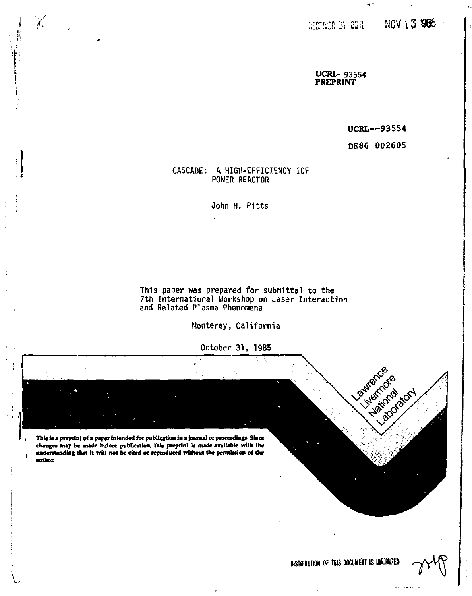RECEIVED BY OCTI NOV 13 1966

**UCRL- 93554 PREPRINT** 

**OCRL—93554** 

**DE86 002605** 

Ashipped Ashipped

# **CASCADE: A HIGH-EFFICIENCY ICF POWER REACTOR**

**John H. Pitts** 

**This paper was prepared for submittal to the 7th International Workshop on Laser Interaction and Related Plasma Phenomena** 

**Monterey, California** 

**October 31, 1985** 

**This ie a preprint of a. paper intended for publication in a Journal or proceedings. Since**  changes may be made before publication, this preprint is made available with the **understanding that it will not be cited or reproduced without the pennlaeion of the author.** 

'Y

.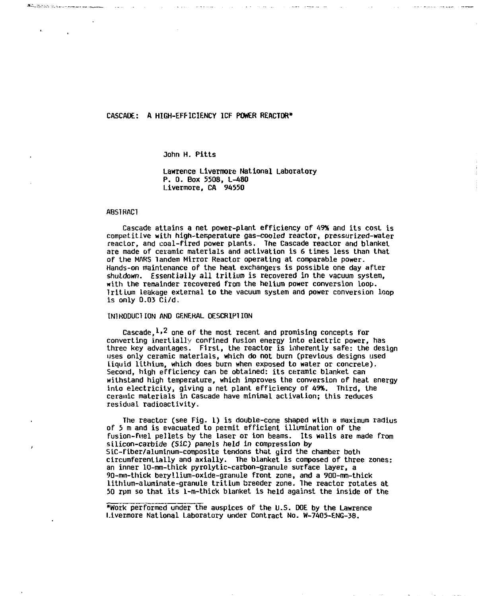### **CASCADE: A HIGH-EFFICIENCY ICF POWER REACTOR\***

**John H. Pitts** 

**Lawrence Livermore National Laboratory P. 0. Box 5508, L-480 Livermore, CA 94550** 

#### **ABSTRAC1**

**MALINERATION CONTINUES IN** 

**Cascade attains a net power-plant efficiency of 4916 and its cost is competitive with high-temperature gas-cooled reactor, pressurized-water reactor, and coal-fired power plants. The Cascade reactor and blanket are made of ceramic materials and activation is 6 times less than that of the MARS Tandem Mirror Reactor operating at comparable power. Hands-on maintenance of the heat exchangers is possible one day after shutdown. Essentially all tritium is recovered in the vacuum system, with the remainder recovered from the helium power conversion loop. Tritium leakage external to the vacuum system and power conversion loop is only 0.03 Ci/d.** 

### **INTKODUCT ION AND GF.NERAL DESCRIPT ION**

**Cascade,<sup>1</sup> ' <sup>2</sup> one of the most recent and promising concepts for converting inertially confined fusion energy into electric power, has three key advantages. First, the reactor is inherently safe: the design uses only ceramic materials, which do not burn (previous designs used Liquid lithium, which does burn when exposed to water or concrete). Second, high efficiency can be obtained: its ceramic blanket can withstand high temperature, which improves the conversion of heat energy into electricity, giving a net plant efficiency of 49%. Third, the ceramic materials in Cascade have minimal activation; this reduces residual radioactivity.** 

**The reactor (see Fig. 1) is double-cone shaped with a maximum radius of 5 m and is evacuated to permit efficient illumination of the fusion-fuel pellets by the laser or ion beams. Its walls are made from silicon-carbide (SiC) panels held in compression by SiC-fiber/aluminum-composite tendons that gird the chamber both circumferentially and axially. The blanket is composed of three zones: an inner 10-mm-thick pyrolytic-carbon-granule surface layer, a 90-mm-thick beryllium-oxide-granule front zone, and a 900-nm-thick lithtum-aluminate-granule tritium breeder zone. The reactor rotates at 50 rpm so that its 1-m-thick blanket is held against the inside of the** 

**"Work performed under the auspices of the U.S. DOE by the Lawrence Livermore National Laboratory under Contract No. W-7405-ENG-38.**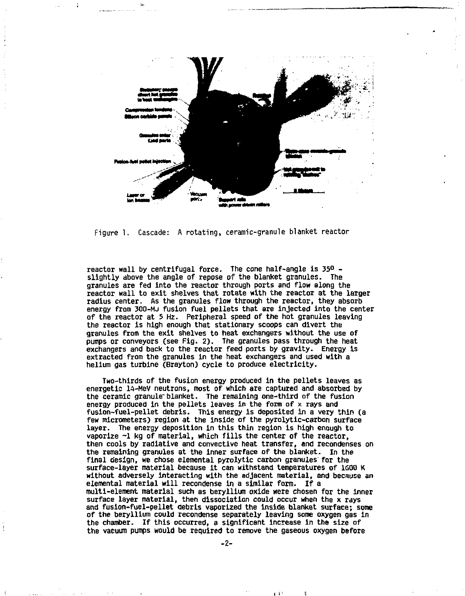

**Figure 1. Cascade: A rotating, ceramic-granule blanket reactor** 

**reactor wall by centrifugal force. The cone half-angle is 35° slightly above the angle of repose of the blanket granules. The granules are fed into the reactor through ports and flow along the reactor wall to exit shelves that rotate with the reactor at the larger radius center. As the granules flow through the reactor, they absorb energy from 300-MJ fusion fuel pellets that are injected into the center of the reactor at 5 Hz. Peripheral speed of the hot granules leaving the reactor is high enough that stationary scoops can divert the granules from the exit shelves to heat exchangers without the use of pumps or conveyors (see Fig. 2). The granules pass through the heat exchangers and back to the reactor feed ports by gravity. Energy is extracted from the granules in the heat exchangers and used with a helium gas turbine (Brayton) cycle to produce electricity.** 

**Two-thirds of the fusion energy produced in the pellets leaves as energetic 14-MeV neutrons, most of which are captured and absorbed by the ceramic granule-blanket. The remaining one-third of the fusion energy produced in the pellets leaves in the form of x rays and fusion-fuel-pellet debris. This energy is deposited in a very thin (a few micrometers) region at the inside of the pyrolytic-carbon surface layer. The energy deposition in this thin region is high enough to vaporize ~1 kg of material, which fills the center of the reactor, then cools by radiative and convective heat transfer, and recondenses on the remaining granules at the inner surface of the blanket. In the final design, we chose elemental pyrolytic carbon granules for the surface-layer material because it can withstand temperatures of 1600 K without adversely interacting with the adjacent material, and because an elemental material will recondense in a similar form. If a multi-element material such as beryllium oxide were chosen for the inner surface layer material, then dissociation could occur when the x rays and fusion-fuel-pellet debris vaporized the inside blanket surface; some of the beryllium could recondense separately leaving some oxygen gas in the chamber. If this occurred, a significant increase in the size of the vacuum pumps would be required to remove the gaseous oxygen before** 

**-2-**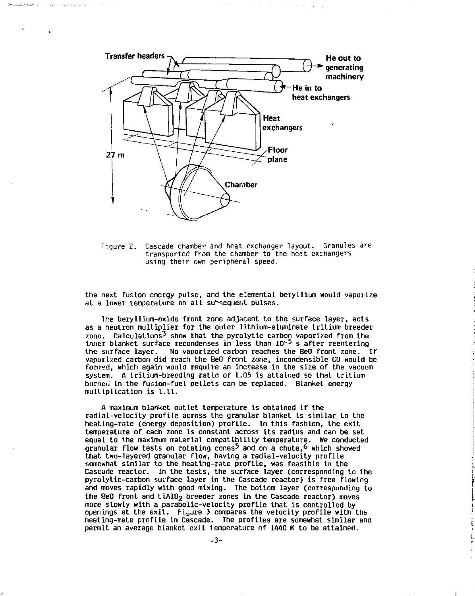



**Tigure 2. Cascade chamber and heat exchanger layout. Granules are transported from the chamber to the heat exchangers using their own peripheral speed.** 

**the next fusion energy pulse, and the elemental beryllium would vaporize at a lower temperature on all su^sequei.t pulses.** 

**The beryllium-oxide front zone adjacent to the surface layer, acts as a neutron multiplier for the outer lithium-aluminate tritium breeder zone. Calculations' show that the pyrolytic carbon vaporized from the inner blanket surface recondenses in less than**  $10^{-5}$  **s after reentering the surface laver. No vaporized carbon reaches the BeQ front zone. the surface layer. No vaporized carbon reaches the BeO front zone. If vaporized carbon did reach the 8e0 front zone, incondensible CO would be fonwd, which again would require an increase in the size of the vacuum system. A tritium-breeding ratio of 1.05 is attained so that tritium burned in the fusion-fuel pellets can be replaced. Blanket energy multiplication is I.11.** 

**A maximum blanket outlet temperature is obtained if the radial-velocity profile across the granular blanket is similar to the heating-rate (energy deposition) profile. In this fashion, the exit temperature of each zone is constant across its radius and can be set equal to the maximum material compatibility temperature. We conducted granular flow tests on rotating cones5 and on a chute,<sup>6</sup> which showed that two-layered granular flow, having a radial-velocity profile somewhat similar to the heating-rate profile, was feasible in the Cascade reactor. In the tests, the surface layer (corresponding to the pyrolytic-carbon surface layer in the Cascade reactor) is free flowing and moves rapidly with good mixing. The bottom layer (corresponding to the BeO front and I1AIO2 breeder zones in the Cascade reactor) moves more slowly with a parabolic-velocity profile that is controlled by openings at the exit. Fi^jre 3 compares the velocity profile with the heating-rate profile in Cascade. The profiles are somewhat similar ano permit an average blanket exi.l temperature of 1440 K to be attained.**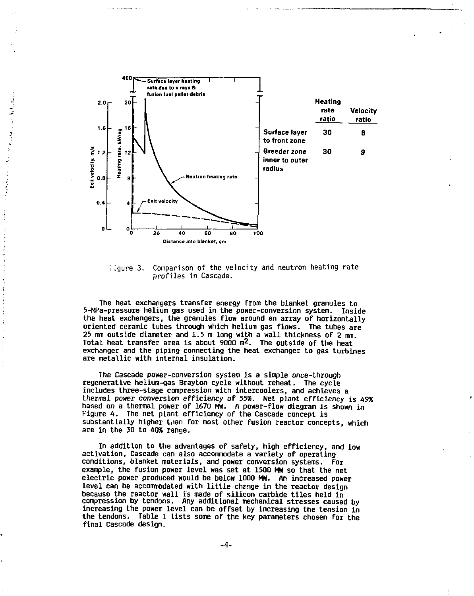

**i igure 3. Comparison of the velocity and neutron heating rate profiles in Cascade.** 

**The heat exchangers transfer energy from the blanket granules to 5-MPa-pressure helium gas used in the power-conversion system. Inside the heat exchangers, the granules flow around an array of horizontally oriented ceramic tubes through which helium gas flows. The tubes are 25 mm outside diameter and 1.5 m long with a wall thickness of 2 mm. Total heat transfer area is about 9000 m<sup>2</sup> . The outside of the heat exchanger and the piping connecting the heat exchanger to gas turbines are metallic with internal insulation.** 

**The Cascade power-conversion system is a simple once-through regenerative helium-gas Brayton cycle without reheat. The cycle includes three-stage compression with intercoolers, and achieves a thermal power conversion efficiency of 55%. Net plant efficiency is 49% based on a thermal power of 1670 MW. A power-flow diagram is shown in Figure 4. The net plant efficiency of the Cascade concept is substantially higher tiian for most other fusion reactor concepts, which are in the 30 to 40% range.** 

**In addition to the advantages of safety, high efficiency, and low activation. Cascade can also accommodate a variety of operating conditions, blanket materials, and power conversion systems. For example, the fusion power level was set at 1500 MW so that the net electric power produced would be below 1000 MW. An increased power**  level can be accommodated with little change in the reactor design **because the reactor wall is made of silicon carbide tiles held in compression by tendons. Any additional mechanical stresses caused by increasing the power level can be offset by increasing the tension in the tendons. Table 1 lists some of the key parameters chosen for the final Cascade design.**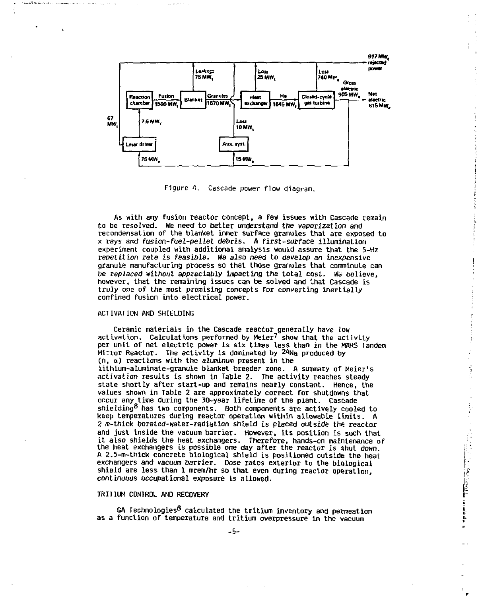

**Figure 4. Cascade power flow diagram.** 

**As with any fusion reactor concept, a few issues with Cascade remain to be resolved. We need to better understand the vaporization and recondensation of the blanket inner surface granules that are exposed to x rays and fusion-fuel-pellet debris. A first-surface illumination experiment coupled with additional analysis would assure that the 5-Hz repetition rate is feasible. We also need to develop an inexpensive granule manufacturing process so that those granules that comminute can**  be replaced without appreciably impacting the total cost. We believe, **however, that the remaining issues can be solved and that Cascade is truly one of the most promising concepts for converting inertially confined fusion into electrical power.** 

### **ACTIVATION AND SHIELDING**

**Ceramic materials in the Cascade reactor generally have low activation. Calculations performed by Meier? show that the activity per unit of net electric power is six times less than in the MARS Tandem Mirror Reactor. The activity is dominated by 24na produced by (n, a) reactions with the aluminum present in the lithtum-aluminate-granule blanket breeder zone. A summary of Meier's activation results is shown in Table 2. The activity reaches steady state shortly after start-up and remains nearly constant. Hence, the values shown in Table 2 are approximately correct for shutdowns that occur any time during the 30-year lifetime of the plant. Cascade shielding<sup>8</sup> has two components. Both components are actively cooled to keep temperatures during reactor operation within allowable limits. A 2 m-thick borated-water-radiation shield is placed outside the reactor**  and just inside the vacuum barrier. However, its position is such that **it also shields the heat exchangers. Therefore, hands-on maintenance of the heat exchangers is possible one day after the reactor is shut down. A 2.5-m-thlck concrete biological shield is positioned outside the heat exchangers and vacuum barrier. Dose rates exterior to the biological shield are less than 1 mrem/hr so that even during reactor operation, continuous occupational exposure is allowed.** 

ĝ.

# **TRITIUM CONTROL AND RECOVERY**

**GA Technologies<sup>8</sup> calculated the tritium inventory and permeation as a function of temperature and tritium overpressure in the vacuum**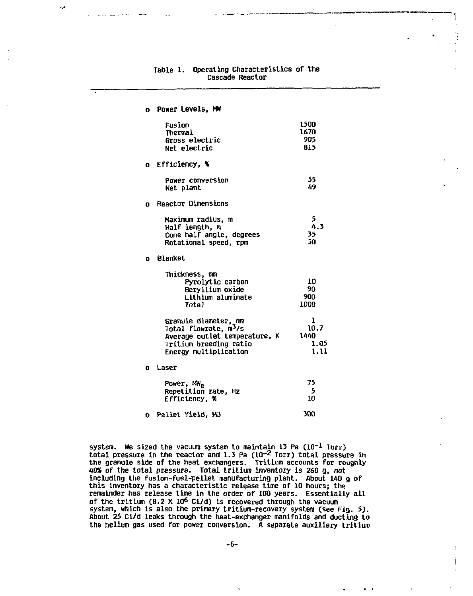|    | o Power Levels, MW                                                                                                                            |                                   |
|----|-----------------------------------------------------------------------------------------------------------------------------------------------|-----------------------------------|
|    | Fusion<br>Thermal<br>Gross electric<br>Net electric                                                                                           | 1500<br>1670<br>905<br>815        |
|    | o Efficiency, %                                                                                                                               |                                   |
|    | Power conversion<br>Net plant                                                                                                                 | 55<br>49                          |
| o  | <b>Reactor Dimensions</b>                                                                                                                     |                                   |
|    | Maximum radius, m<br>Half length, m<br>Cone half angle, degrees<br>Rotational speed, rpm                                                      | 5<br>4.3<br>35<br>50              |
| Ω. | Blanket                                                                                                                                       |                                   |
|    | Thickness, mm<br>Pyrolytic carbon<br>Beryllium oxide<br>Lithium aluminate<br>Total                                                            | 10<br>90<br>900<br>1000           |
|    | Granule diameter, mm<br>Total flowrate, m <sup>3</sup> /s<br>Average outlet temperature, K<br>Tritium breeding ratio<br>Energy multiplication | ı<br>10.7<br>1440<br>1.05<br>1.11 |
| o  | Laser                                                                                                                                         |                                   |
|    | Power, Mw <sub>e</sub><br>Repetition rate. Hz<br>Efficiency, %                                                                                | 75<br>5<br>10                     |
|    | o Pellet Yield, MJ                                                                                                                            | 300                               |

# **Table 1. Operating Characteristics of the Cascade Reactor**

 $\mathbf{z}_{\rm tot}$ 

**system. We sized the vacuum system to maintain 13 Pa (10- <sup>1</sup> Torr) total pressure in the reactor and 1.3 Pa (10"2 Torr) total pressure in the granule side of the heat exchangers. Tritium accounts for rougnly 40% of the total pressure. Total tritium inventory is 260 g, not Including the fuslon-fuel-pellet manufacturing plant. About 140 g of this inventory has a characteristic release time of 10 hours; the remainder has release time in the order of 100 years. Essentially all of the tritium (8.2 X 106 Ci/d) is recovered through the vacuum system, which is also the primary tritium-recovery system (see Fig. 5). About 25 Ci/d leaks through the heat-exchanger manifolds and ducting to the helium gas used for power conversion. A separate auxiliary tritium** 

**-6-**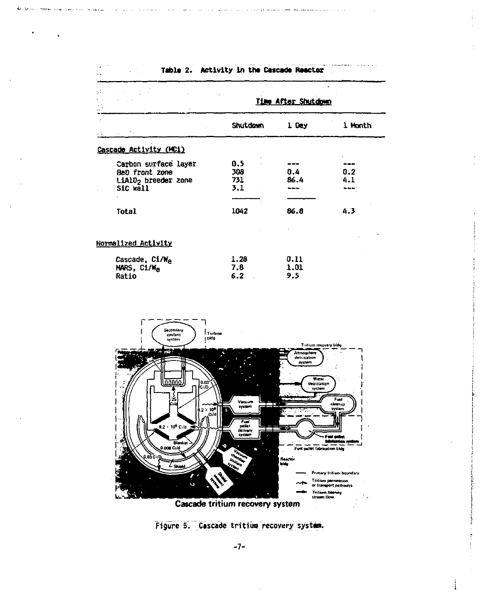| $\sim$                                                                                | $\mathcal{O}(\mathcal{E})$<br>Time After Shutdown |                     |            |
|---------------------------------------------------------------------------------------|---------------------------------------------------|---------------------|------------|
| ٠.                                                                                    | <b>Shutdown</b>                                   | 1 Oey               | 1 Month    |
| Cascade Activity (MCi)                                                                |                                                   |                     |            |
| Carbon surface layer<br>BeQ front zone<br>LiAlO <sub>2</sub> breeder zone<br>SiC wall | 0.5<br>308<br>731<br>3.1                          | 0.4<br>86.4         | 0.2<br>4.1 |
| Total                                                                                 | 1042                                              | 86.8                | 4.3        |
| Normalized Activity                                                                   |                                                   |                     |            |
| Cascade, C1/We<br>MARS, C1/We<br>Ratio                                                | 1.28<br>7.8<br>6.2                                | 0.11<br>1.01<br>9.5 |            |

**Table 2. Activity in trie Cascade Reactor** 

der die best

 $\frac{\partial}{\partial x}$ 



**Cascade tritium recovery system** 



**•7-**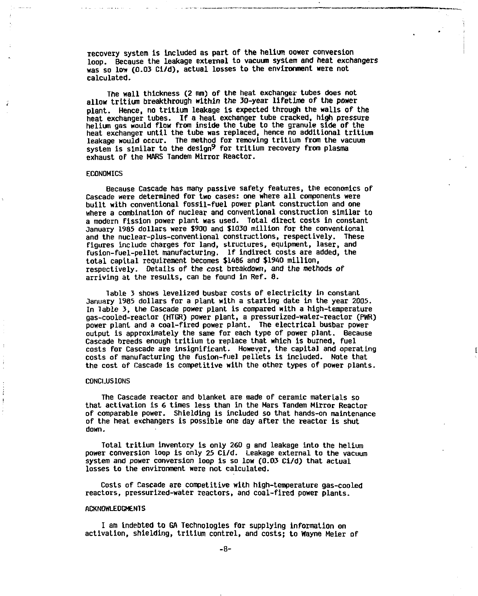**recovery system is Included as part of the helium oower conversion loop. Because the leakage external to vacuum system and heat exchangers was so low (0.03 Ci/d), actual losses to the environment were not calculated.** 

**The wall thickness (2 mm) of the heat exchanger tubes does not allow tritium breakthrough within the 30-year lifetime of the power plant. Hence, no tritium leakage is expected through the walls of the heat exchanger tubes. If a heal exchanger tube cracked, high pressure helium gas would flow from inside the tube to the granule side of the heat exchanger until the tube was replaced, hence no additional tritium leakage would occur. The method for removing tritium from the vacuum system is similar to the design' for tritium recovery from plasma exhaust of the MARS Tandem Mirror Reactor.** 

#### **ECONOMICS**

**Because Cascade has many passive safety features, the economics of Cascade were determined for two cases: one where all components were built with conventional fossil-fuel power plant construction and one where a combination of nuclear and conventional construction similar to a modern fission power plant was used. Total direct costs in constant January 1985 dollars were \$900 and \$1030 million for the conventional and the nuclear-plus-conventional constructions, respectively. These figures include charges for land, structures, equipment, laser, and fusion-fuel-pellet manufacturing. If indirect costs are added, the total capital requirement becomes \$1486 and \$1940 million, respectively. Details of the cost breakdown, and the methods of arriving at the results, can be found in Ref. 8.** 

**Table 3 shows levelized busbar costs of electricity in constant January 1985 dollars for a plant with a starting date in the year 2005. In Table 3, the Cascade power plant is compared with a high-temperature gas-cooled-reactor (HTGR) power plant, a pressurized-water-reactor (PWR) power plant and a coal-fired power plant. The electrical busbar power output is approximately the same for each type of power plant. Because Cascade breeds enough tritium to replace that which is burned, fuel costs for Cascade are insignificant. However, the capital and operating costs of manufacturing the fusion-fuel pellets is included. Note that the cost of Cascade is competitive with the other types of power plants.** 

### **CONCLUSIONS**

**The Cascade reactor and blanket are made of ceramic materials so that activation is 6 times less than in the Mars Tandem Mirror Reactor of comparable power. Shielding is included so that hands-on maintenance of the heat exchangers is possible one day after the reactor is shut down.** 

**Total tritium inventory is only 260 g and leakage into the helium power conversion loop is only 25 Ci/d. Leakage external to the vacuum system and power conversion loop is so low (0.03 Ci/d) that actual losses to the environment were not calculated.** 

**Costs of Cascade are competitive with high-temperature gas-cooled reactors, pressurized-water reactors, and coal-fired power plants.** 

### **ACKNOWLEDGMENTS**

**I am Indebted to GA Technologies for supplying information on activation, shielding, tritium control, and costs; to Wayne Meier of**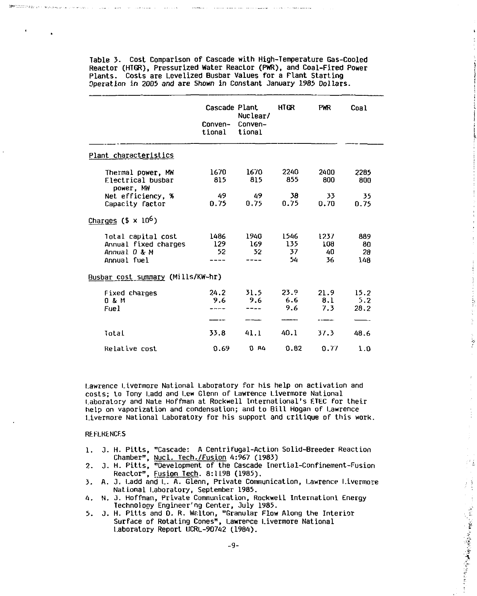|                                                                           | Cascade Plant<br>Conven-<br>tional | Nuclear/<br>Conven-<br>tional | HTGR                    | PHR                     | Coal                   |
|---------------------------------------------------------------------------|------------------------------------|-------------------------------|-------------------------|-------------------------|------------------------|
| Plant characteristics                                                     |                                    |                               |                         |                         |                        |
| Thermal power, MW<br>Flectrical busbar<br>power, MW                       | 1670<br>815                        | 1670<br>815                   | 2240<br>855             | 2400<br>800             | 2285<br>800            |
| Net efficiency, %<br>Capacity factor                                      | 49<br>0.75                         | 49<br>0.75                    | 38<br>0.75              | 33<br>0.70              | 35<br>0.75             |
| Charges (\$ × 10 <sup>6</sup> )                                           |                                    |                               |                         |                         |                        |
| Total capital cost<br>Annual fixed charges<br>Annual O & M<br>Annual fuel | 1486<br>129<br>52                  | 1940<br>169<br>52             | 1546<br>135<br>37<br>54 | 1237<br>108<br>40<br>36 | 889<br>80<br>28<br>148 |
| Busbar cost summary (Mills/KW-hr)                                         |                                    |                               |                         |                         |                        |
| Fixed charges<br>በአዘ<br>Fue1                                              | 24.2<br>9.6<br>----                | 31.5<br>9.6                   | 23.9<br>6.6<br>9.6      | 21.9<br>8.1<br>7.3      | 15.2<br>5.2<br>28.2    |
| Total                                                                     | 33.8                               | 41.1                          | 40.1                    | 37.3                    | 48.6                   |
| Relative cost                                                             | 0.69                               | <b>D 84</b>                   | 0.62                    | 0.77                    | 1.0                    |

ŧ

ý

J.

τí

Ĥ

**Table 3. Cost Comparison of Cascade with High-Temperature Gas-Cooled Reactor (HTGR), Pressurized Water Reactor (PWR), and Coal-Fired Power Plants. Costs are Levelized Busbar Values for a Plant Starting Operation in 2005 and are Shown in Constant January 1985 Dollars.** 

**Lawrence Livermore National Laboratory for his help on activation and costs; to Tony Ladd and Lew Glenn of Lawrence Livermore National Laboratory and Nate Hoffman at Rockwell International's F.TEC for their help on vaporization and condensation; and to Bill Hogan of Lawrence l.ivermore National Laboratory for his support and critique of this work.** 

### **REFtHENCFS**

1997 Christmass Corp. Schools

- 
- H. Pitts, "Cascade: A Centrifugal-Action Solid-Breeder Reaction<br>Chamber", <u>Nucl. Tech./Fusion</u> 4:967 (1983)<br>H. Pitts, "Development of the Cascade Inertial-Confinement-Fusion<br>Reactor", <u>Fusion Tech</u>. 8:1198 (1985).
- **J. Ladd and L. A. Glenn, Private Communication, Lawrence l.ivermore National Laboratory, September 1985.**
- **J. Hoffman, Private Communication, Rockwell Internationl Energy Technology Engineer'ng Center, July 1985.**
- **H. Pitts and 0. R. Wfclton, "Granular Flow Along the Interior Surface of Rotating Cones", Lawrence Livermore National Laboratory Report UCRL-90742 (1984).**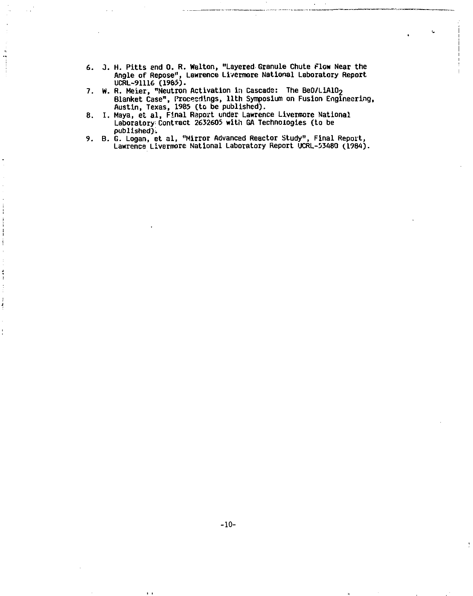- 6. J. H. Pitts end O. R. Walton, "Layered Granule Chute Flow Near the<br>Angle of Repose", Lawrence Livermore National Laboratory Report<br>UCRL-91116 (1985).<br>7. W. R. Meier, "Neutron Activation in Cascade: The BeO/LiAlO<sub>2</sub>
- **Blanket Case", Proceedings, 11th Symposium on Fusion Engineering, Austin, Texas, 1985 (to be published). 8. I. Maya, et al, Final Report under Lawrence Livermore National**
- Laboratory<sup>:</sup> Contract 2632605 with GA Technologies (to be **published).**

j

**9. B. G. Logan, et al, "Mirror Advanced Reactor Study", Final Report, Lawrence Livermore National Laboratory Report UCRL-53480 (1984).** 

 $\mathbf{r}$  .